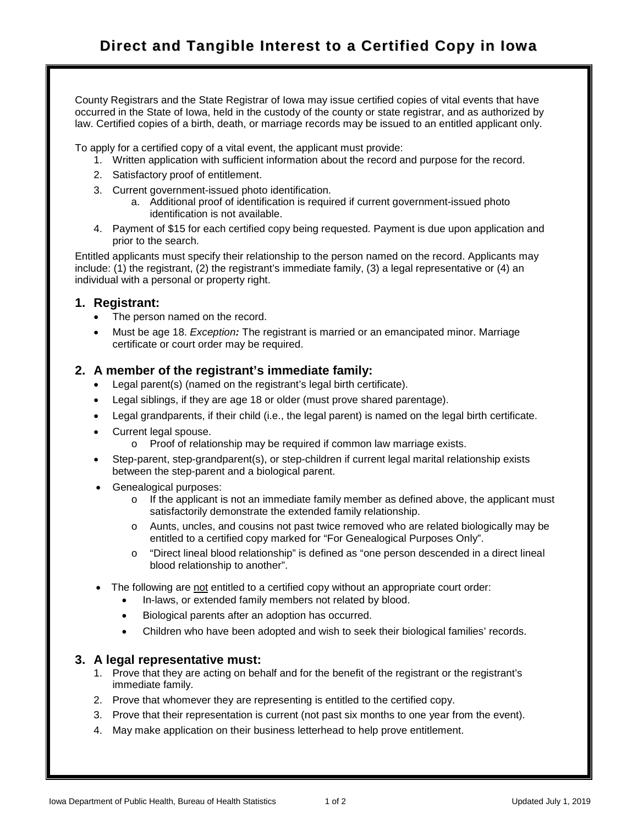County Registrars and the State Registrar of Iowa may issue certified copies of vital events that have occurred in the State of Iowa, held in the custody of the county or state registrar, and as authorized by law. Certified copies of a birth, death, or marriage records may be issued to an entitled applicant only.

To apply for a certified copy of a vital event, the applicant must provide:

- 1. Written application with sufficient information about the record and purpose for the record.
- 2. Satisfactory proof of entitlement.
- 3. Current government-issued photo identification.
	- a. Additional proof of identification is required if current government-issued photo identification is not available.
- 4. Payment of \$15 for each certified copy being requested. Payment is due upon application and prior to the search.

Entitled applicants must specify their relationship to the person named on the record. Applicants may include: (1) the registrant, (2) the registrant's immediate family, (3) a legal representative or (4) an individual with a personal or property right.

## **1. Registrant:**

- The person named on the record.
- Must be age 18. *Exception:* The registrant is married or an emancipated minor. Marriage certificate or court order may be required.

## **2. A member of the registrant's immediate family:**

- Legal parent(s) (named on the registrant's legal birth certificate).
- Legal siblings, if they are age 18 or older (must prove shared parentage).
- Legal grandparents, if their child (i.e., the legal parent) is named on the legal birth certificate.
- Current legal spouse.
	- o Proof of relationship may be required if common law marriage exists.
- Step-parent, step-grandparent(s), or step-children if current legal marital relationship exists between the step-parent and a biological parent.
- Genealogical purposes:
	- o If the applicant is not an immediate family member as defined above, the applicant must satisfactorily demonstrate the extended family relationship.
	- o Aunts, uncles, and cousins not past twice removed who are related biologically may be entitled to a certified copy marked for "For Genealogical Purposes Only".
	- o "Direct lineal blood relationship" is defined as "one person descended in a direct lineal blood relationship to another".
- The following are not entitled to a certified copy without an appropriate court order:
	- In-laws, or extended family members not related by blood.
	- Biological parents after an adoption has occurred.
	- Children who have been adopted and wish to seek their biological families' records.

## **3. A legal representative must:**

- 1. Prove that they are acting on behalf and for the benefit of the registrant or the registrant's immediate family.
- 2. Prove that whomever they are representing is entitled to the certified copy.
- 3. Prove that their representation is current (not past six months to one year from the event).
- 4. May make application on their business letterhead to help prove entitlement.